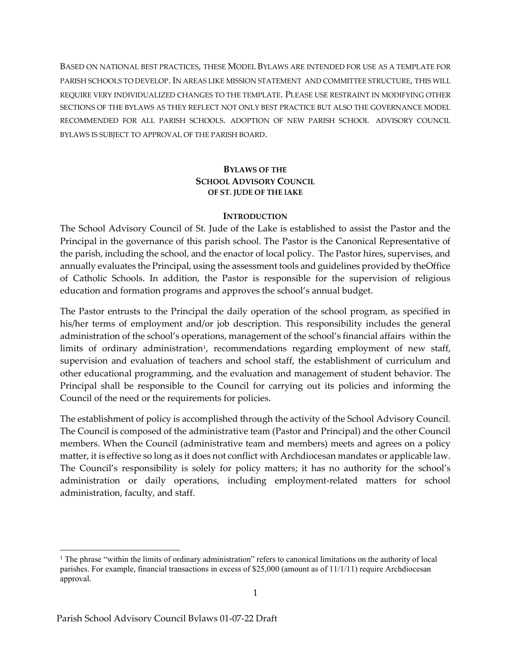BASED ON NATIONAL BEST PRACTICES, THESE MODEL BYLAWS ARE INTENDED FOR USE AS A TEMPLATE FOR PARISH SCHOOLS TO DEVELOP. IN AREAS LIKE MISSION STATEMENT AND COMMITTEE STRUCTURE, THIS WILL REQUIRE VERY INDIVIDUALIZED CHANGES TO THE TEMPLATE. PLEASE USE RESTRAINT IN MODIFYING OTHER SECTIONS OF THE BYLAWS AS THEY REFLECT NOT ONLY BEST PRACTICE BUT ALSO THE GOVERNANCE MODEL RECOMMENDED FOR ALL PARISH SCHOOLS. ADOPTION OF NEW PARISH SCHOOL ADVISORY COUNCIL BYLAWS IS SUBJECT TO APPROVAL OF THE PARISH BOARD.

#### BYLAWS OF THE SCHOOL ADVISORY COUNCIL OF ST. JUDE OF THE lAKE

#### **INTRODUCTION**

The School Advisory Council of St. Jude of the Lake is established to assist the Pastor and the Principal in the governance of this parish school. The Pastor is the Canonical Representative of the parish, including the school, and the enactor of local policy. The Pastor hires, supervises, and annually evaluates the Principal, using the assessment tools and guidelines provided by the Office of Catholic Schools. In addition, the Pastor is responsible for the supervision of religious education and formation programs and approves the school's annual budget.

The Pastor entrusts to the Principal the daily operation of the school program, as specified in his/her terms of employment and/or job description. This responsibility includes the general administration of the school's operations, management of the school's financial affairs within the limits of ordinary administration<sup>1</sup>, recommendations regarding employment of new staff, supervision and evaluation of teachers and school staff, the establishment of curriculum and other educational programming, and the evaluation and management of student behavior. The Principal shall be responsible to the Council for carrying out its policies and informing the Council of the need or the requirements for policies.

The establishment of policy is accomplished through the activity of the School Advisory Council. The Council is composed of the administrative team (Pastor and Principal) and the other Council members. When the Council (administrative team and members) meets and agrees on a policy matter, it is effective so long as it does not conflict with Archdiocesan mandates or applicable law. The Council's responsibility is solely for policy matters; it has no authority for the school's administration or daily operations, including employment-related matters for school administration, faculty, and staff.

<sup>&</sup>lt;sup>1</sup> The phrase "within the limits of ordinary administration" refers to canonical limitations on the authority of local parishes. For example, financial transactions in excess of \$25,000 (amount as of 11/1/11) require Archdiocesan approval.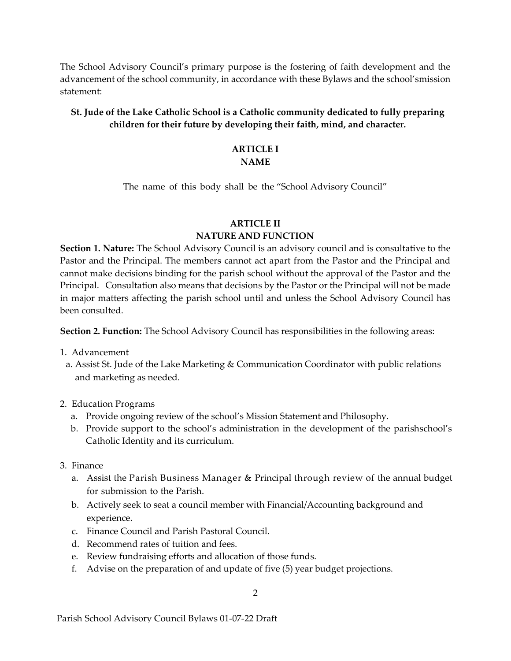The School Advisory Council's primary purpose is the fostering of faith development and the advancement of the school community, in accordance with these Bylaws and the school's mission statement:

# St. Jude of the Lake Catholic School is a Catholic community dedicated to fully preparing children for their future by developing their faith, mind, and character.

#### ARTICLE I NAME

The name of this body shall be the "School Advisory Council"

### ARTICLE II

## NATURE AND FUNCTION

Section 1. Nature: The School Advisory Council is an advisory council and is consultative to the Pastor and the Principal. The members cannot act apart from the Pastor and the Principal and cannot make decisions binding for the parish school without the approval of the Pastor and the Principal. Consultation also means that decisions by the Pastor or the Principal will not be made in major matters affecting the parish school until and unless the School Advisory Council has been consulted.

Section 2. Function: The School Advisory Council has responsibilities in the following areas:

- 1. Advancement
- a. Assist St. Jude of the Lake Marketing & Communication Coordinator with public relations and marketing as needed.
- 2. Education Programs
	- a. Provide ongoing review of the school's Mission Statement and Philosophy.
	- b. Provide support to the school's administration in the development of the parish school's Catholic Identity and its curriculum.
- 3. Finance
	- a. Assist the Parish Business Manager & Principal through review of the annual budget for submission to the Parish.
	- b. Actively seek to seat a council member with Financial/Accounting background and experience.
	- c. Finance Council and Parish Pastoral Council.
	- d. Recommend rates of tuition and fees.
	- e. Review fundraising efforts and allocation of those funds.
	- f. Advise on the preparation of and update of five (5) year budget projections.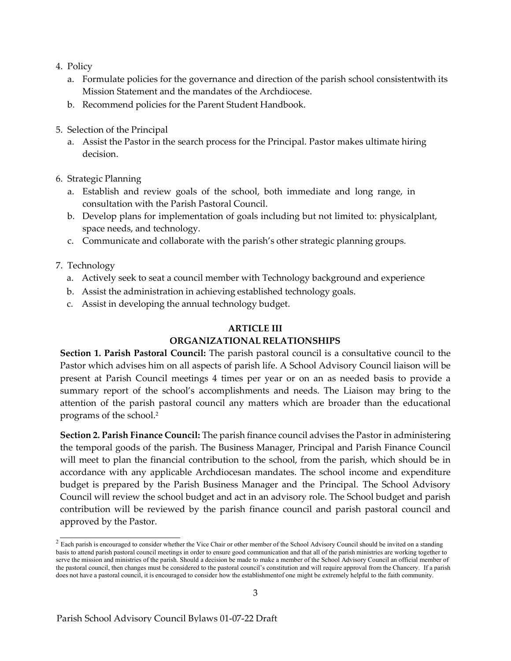- 4. Policy
	- a. Formulate policies for the governance and direction of the parish school consistent with its Mission Statement and the mandates of the Archdiocese.
	- b. Recommend policies for the Parent Student Handbook.
- 5. Selection of the Principal
	- a. Assist the Pastor in the search process for the Principal. Pastor makes ultimate hiring decision.
- 6. Strategic Planning
	- a. Establish and review goals of the school, both immediate and long range, in consultation with the Parish Pastoral Council.
	- b. Develop plans for implementation of goals including but not limited to: physical plant, space needs, and technology.
	- c. Communicate and collaborate with the parish's other strategic planning groups.

7. Technology

- a. Actively seek to seat a council member with Technology background and experience
- b. Assist the administration in achieving established technology goals.
- c. Assist in developing the annual technology budget.

## ARTICLE III

## ORGANIZATIONAL RELATIONSHIPS

Section 1. Parish Pastoral Council: The parish pastoral council is a consultative council to the Pastor which advises him on all aspects of parish life. A School Advisory Council liaison will be present at Parish Council meetings 4 times per year or on an as needed basis to provide a summary report of the school's accomplishments and needs. The Liaison may bring to the attention of the parish pastoral council any matters which are broader than the educational programs of the school.<sup>2</sup>

Section 2. Parish Finance Council: The parish finance council advises the Pastor in administering the temporal goods of the parish. The Business Manager, Principal and Parish Finance Council will meet to plan the financial contribution to the school, from the parish, which should be in accordance with any applicable Archdiocesan mandates. The school income and expenditure budget is prepared by the Parish Business Manager and the Principal. The School Advisory Council will review the school budget and act in an advisory role. The School budget and parish contribution will be reviewed by the parish finance council and parish pastoral council and approved by the Pastor.

 $2$  Each parish is encouraged to consider whether the Vice Chair or other member of the School Advisory Council should be invited on a standing basis to attend parish pastoral council meetings in order to ensure good communication and that all of the parish ministries are working together to serve the mission and ministries of the parish. Should a decision be made to make a member of the School Advisory Council an official member of the pastoral council, then changes must be considered to the pastoral council's constitution and will require approval from the Chancery. If a parish does not have a pastoral council, it is encouraged to consider how the establishment of one might be extremely helpful to the faith community.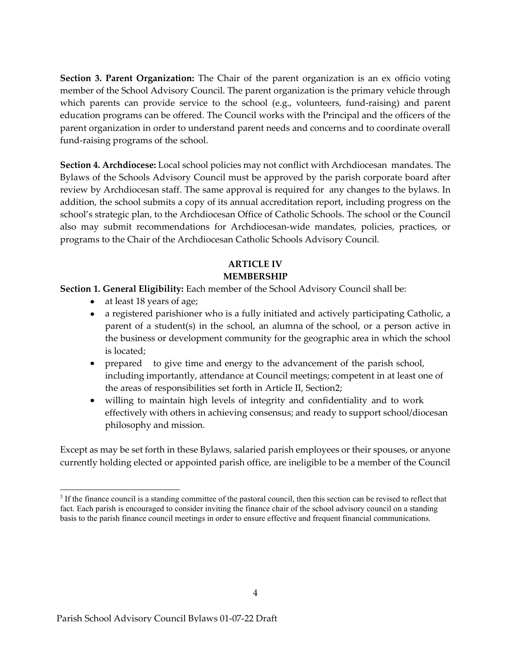Section 3. Parent Organization: The Chair of the parent organization is an ex officio voting member of the School Advisory Council. The parent organization is the primary vehicle through which parents can provide service to the school (e.g., volunteers, fund-raising) and parent education programs can be offered. The Council works with the Principal and the officers of the parent organization in order to understand parent needs and concerns and to coordinate overall fund-raising programs of the school.

Section 4. Archdiocese: Local school policies may not conflict with Archdiocesan mandates. The Bylaws of the Schools Advisory Council must be approved by the parish corporate board after review by Archdiocesan staff. The same approval is required for any changes to the bylaws. In addition, the school submits a copy of its annual accreditation report, including progress on the school's strategic plan, to the Archdiocesan Office of Catholic Schools. The school or the Council also may submit recommendations for Archdiocesan-wide mandates, policies, practices, or programs to the Chair of the Archdiocesan Catholic Schools Advisory Council.

# ARTICLE IV MEMBERSHIP

Section 1. General Eligibility: Each member of the School Advisory Council shall be:

- at least 18 years of age;
- a registered parishioner who is a fully initiated and actively participating Catholic, a parent of a student(s) in the school, an alumna of the school, or a person active in the business or development community for the geographic area in which the school is located;
- prepared to give time and energy to the advancement of the parish school, including importantly, attendance at Council meetings; competent in at least one of the areas of responsibilities set forth in Article II, Section2;
- willing to maintain high levels of integrity and confidentiality and to work effectively with others in achieving consensus; and ready to support school/diocesan philosophy and mission.

Except as may be set forth in these Bylaws, salaried parish employees or their spouses, or anyone currently holding elected or appointed parish office, are ineligible to be a member of the Council

<sup>&</sup>lt;sup>3</sup> If the finance council is a standing committee of the pastoral council, then this section can be revised to reflect that fact. Each parish is encouraged to consider inviting the finance chair of the school advisory council on a standing basis to the parish finance council meetings in order to ensure effective and frequent financial communications.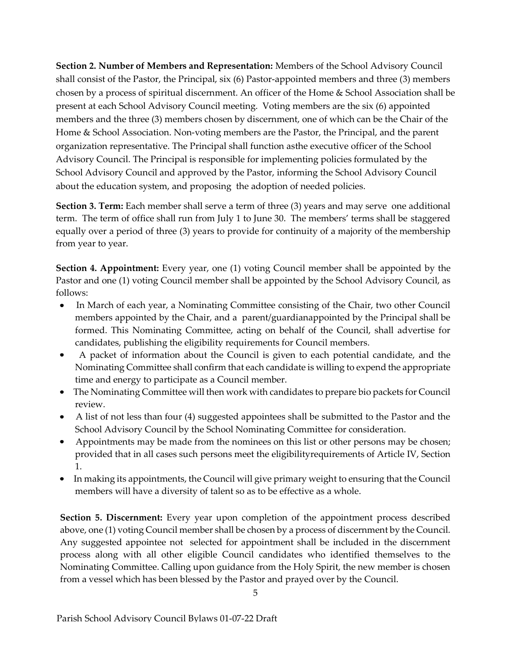Section 2. Number of Members and Representation: Members of the School Advisory Council shall consist of the Pastor, the Principal, six (6) Pastor-appointed members and three (3) members chosen by a process of spiritual discernment. An officer of the Home & School Association shall be present at each School Advisory Council meeting. Voting members are the six (6) appointed members and the three (3) members chosen by discernment, one of which can be the Chair of the Home & School Association. Non-voting members are the Pastor, the Principal, and the parent organization representative. The Principal shall function as the executive officer of the School Advisory Council. The Principal is responsible for implementing policies formulated by the School Advisory Council and approved by the Pastor, informing the School Advisory Council about the education system, and proposing the adoption of needed policies.

Section 3. Term: Each member shall serve a term of three (3) years and may serve one additional term. The term of office shall run from July 1 to June 30. The members' terms shall be staggered equally over a period of three (3) years to provide for continuity of a majority of the membership from year to year.

Section 4. Appointment: Every year, one (1) voting Council member shall be appointed by the Pastor and one (1) voting Council member shall be appointed by the School Advisory Council, as follows:

- $\bullet$  In March of each year, a Nominating Committee consisting of the Chair, two other Council members appointed by the Chair, and a parent/guardian appointed by the Principal shall be formed. This Nominating Committee, acting on behalf of the Council, shall advertise for candidates, publishing the eligibility requirements for Council members.
- A packet of information about the Council is given to each potential candidate, and the Nominating Committee shall confirm that each candidate is willing to expend the appropriate time and energy to participate as a Council member.
- The Nominating Committee will then work with candidates to prepare bio packets for Council review.
- A list of not less than four (4) suggested appointees shall be submitted to the Pastor and the School Advisory Council by the School Nominating Committee for consideration.
- Appointments may be made from the nominees on this list or other persons may be chosen; provided that in all cases such persons meet the eligibility requirements of Article IV, Section 1.
- In making its appointments, the Council will give primary weight to ensuring that the Council members will have a diversity of talent so as to be effective as a whole.

Section 5. Discernment: Every year upon completion of the appointment process described above, one (1) voting Council member shall be chosen by a process of discernment by the Council. Any suggested appointee not selected for appointment shall be included in the discernment process along with all other eligible Council candidates who identified themselves to the Nominating Committee. Calling upon guidance from the Holy Spirit, the new member is chosen from a vessel which has been blessed by the Pastor and prayed over by the Council.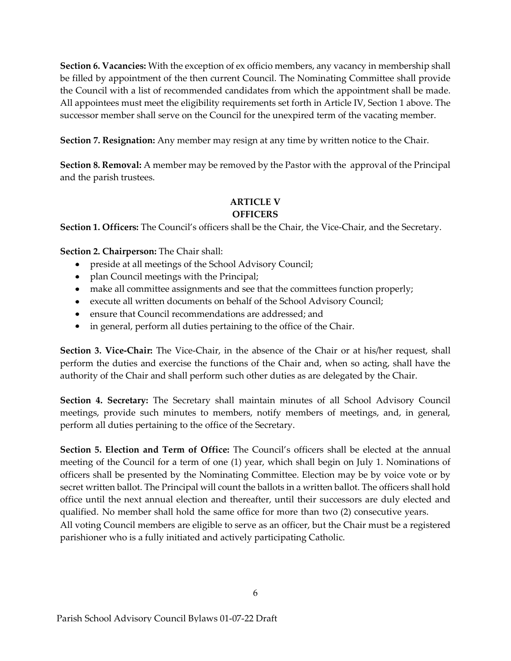Section 6. Vacancies: With the exception of ex officio members, any vacancy in membership shall be filled by appointment of the then current Council. The Nominating Committee shall provide the Council with a list of recommended candidates from which the appointment shall be made. All appointees must meet the eligibility requirements set forth in Article IV, Section 1 above. The successor member shall serve on the Council for the unexpired term of the vacating member.

Section 7. Resignation: Any member may resign at any time by written notice to the Chair.

Section 8. Removal: A member may be removed by the Pastor with the approval of the Principal and the parish trustees.

# ARTICLE V **OFFICERS**

Section 1. Officers: The Council's officers shall be the Chair, the Vice-Chair, and the Secretary.

Section 2. Chairperson: The Chair shall:

- preside at all meetings of the School Advisory Council;
- plan Council meetings with the Principal;
- make all committee assignments and see that the committees function properly;
- execute all written documents on behalf of the School Advisory Council;
- ensure that Council recommendations are addressed; and
- in general, perform all duties pertaining to the office of the Chair.

Section 3. Vice-Chair: The Vice-Chair, in the absence of the Chair or at his/her request, shall perform the duties and exercise the functions of the Chair and, when so acting, shall have the authority of the Chair and shall perform such other duties as are delegated by the Chair.

Section 4. Secretary: The Secretary shall maintain minutes of all School Advisory Council meetings, provide such minutes to members, notify members of meetings, and, in general, perform all duties pertaining to the office of the Secretary.

Section 5. Election and Term of Office: The Council's officers shall be elected at the annual meeting of the Council for a term of one (1) year, which shall begin on July 1. Nominations of officers shall be presented by the Nominating Committee. Election may be by voice vote or by secret written ballot. The Principal will count the ballots in a written ballot. The officers shall hold office until the next annual election and thereafter, until their successors are duly elected and qualified. No member shall hold the same office for more than two (2) consecutive years.

All voting Council members are eligible to serve as an officer, but the Chair must be a registered parishioner who is a fully initiated and actively participating Catholic.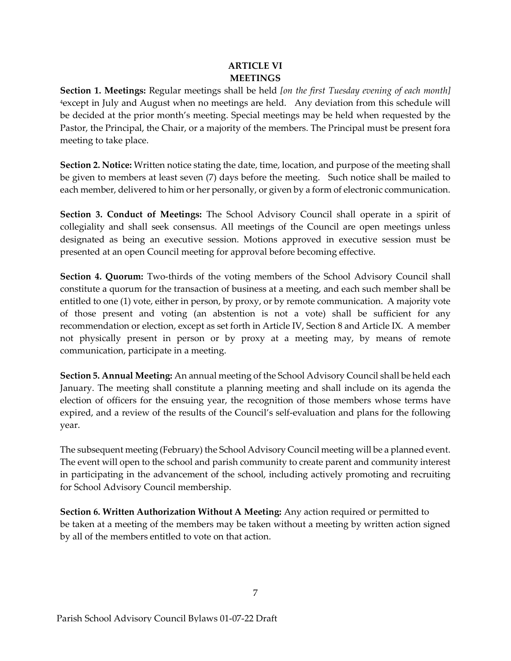## ARTICLE VI MEETINGS

Section 1. Meetings: Regular meetings shall be held [on the first Tuesday evening of each month] <sup>4</sup>except in July and August when no meetings are held. Any deviation from this schedule will be decided at the prior month's meeting. Special meetings may be held when requested by the Pastor, the Principal, the Chair, or a majority of the members. The Principal must be present for a meeting to take place.

Section 2. Notice: Written notice stating the date, time, location, and purpose of the meeting shall be given to members at least seven (7) days before the meeting. Such notice shall be mailed to each member, delivered to him or her personally, or given by a form of electronic communication.

Section 3. Conduct of Meetings: The School Advisory Council shall operate in a spirit of collegiality and shall seek consensus. All meetings of the Council are open meetings unless designated as being an executive session. Motions approved in executive session must be presented at an open Council meeting for approval before becoming effective.

Section 4. Quorum: Two-thirds of the voting members of the School Advisory Council shall constitute a quorum for the transaction of business at a meeting, and each such member shall be entitled to one (1) vote, either in person, by proxy, or by remote communication. A majority vote of those present and voting (an abstention is not a vote) shall be sufficient for any recommendation or election, except as set forth in Article IV, Section 8 and Article IX. A member not physically present in person or by proxy at a meeting may, by means of remote communication, participate in a meeting.

Section 5. Annual Meeting: An annual meeting of the School Advisory Council shall be held each January. The meeting shall constitute a planning meeting and shall include on its agenda the election of officers for the ensuing year, the recognition of those members whose terms have expired, and a review of the results of the Council's self-evaluation and plans for the following year.

The subsequent meeting (February) the School Advisory Council meeting will be a planned event. The event will open to the school and parish community to create parent and community interest in participating in the advancement of the school, including actively promoting and recruiting for School Advisory Council membership.

Section 6. Written Authorization Without A Meeting: Any action required or permitted to be taken at a meeting of the members may be taken without a meeting by written action signed by all of the members entitled to vote on that action.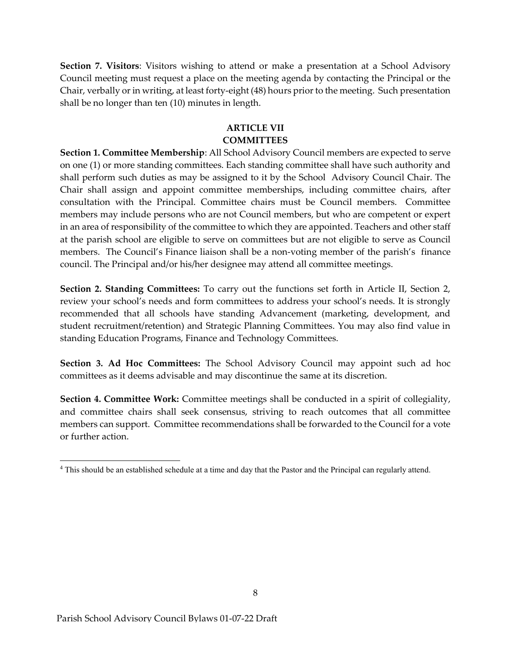Section 7. Visitors: Visitors wishing to attend or make a presentation at a School Advisory Council meeting must request a place on the meeting agenda by contacting the Principal or the Chair, verbally or in writing, at least forty-eight (48) hours prior to the meeting. Such presentation shall be no longer than ten (10) minutes in length.

### ARTICLE VII **COMMITTEES**

Section 1. Committee Membership: All School Advisory Council members are expected to serve on one (1) or more standing committees. Each standing committee shall have such authority and shall perform such duties as may be assigned to it by the School Advisory Council Chair. The Chair shall assign and appoint committee memberships, including committee chairs, after consultation with the Principal. Committee chairs must be Council members. Committee members may include persons who are not Council members, but who are competent or expert in an area of responsibility of the committee to which they are appointed. Teachers and other staff at the parish school are eligible to serve on committees but are not eligible to serve as Council members. The Council's Finance liaison shall be a non-voting member of the parish's finance council. The Principal and/or his/her designee may attend all committee meetings.

Section 2. Standing Committees: To carry out the functions set forth in Article II, Section 2, review your school's needs and form committees to address your school's needs. It is strongly recommended that all schools have standing Advancement (marketing, development, and student recruitment/retention) and Strategic Planning Committees. You may also find value in standing Education Programs, Finance and Technology Committees.

Section 3. Ad Hoc Committees: The School Advisory Council may appoint such ad hoc committees as it deems advisable and may discontinue the same at its discretion.

Section 4. Committee Work: Committee meetings shall be conducted in a spirit of collegiality, and committee chairs shall seek consensus, striving to reach outcomes that all committee members can support. Committee recommendations shall be forwarded to the Council for a vote or further action.

<sup>&</sup>lt;sup>4</sup> This should be an established schedule at a time and day that the Pastor and the Principal can regularly attend.